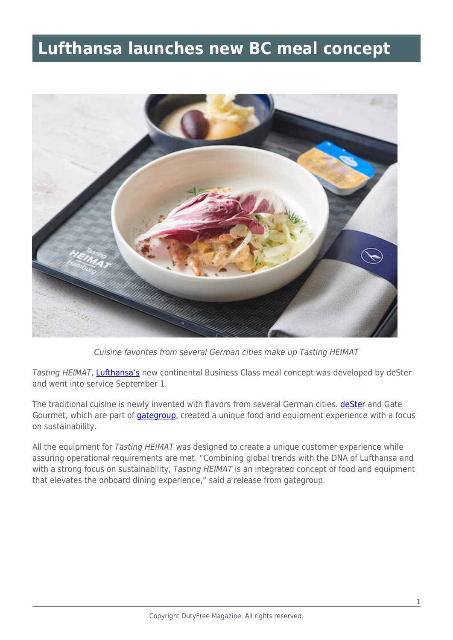## **Lufthansa launches new BC meal concept**



Cuisine favorites from several German cities make up Tasting HEIMAT

Tasting HEIMAT, [Lufthansa's](https://www.lufthansa.com/us/en/homepage) new continental Business Class meal concept was developed by deSter and went into service September 1.

The traditional cuisine is newly invented with flavors from several German cities. **deSter** and Gate Gourmet, which are part of *[gategroup](https://www.gategroup.com/)*, created a unique food and equipment experience with a focus on sustainability.

All the equipment for Tasting HEIMAT was designed to create a unique customer experience while assuring operational requirements are met. "Combining global trends with the DNA of Lufthansa and with a strong focus on sustainability, Tasting HEIMAT is an integrated concept of food and equipment that elevates the onboard dining experience," said a release from gategroup.